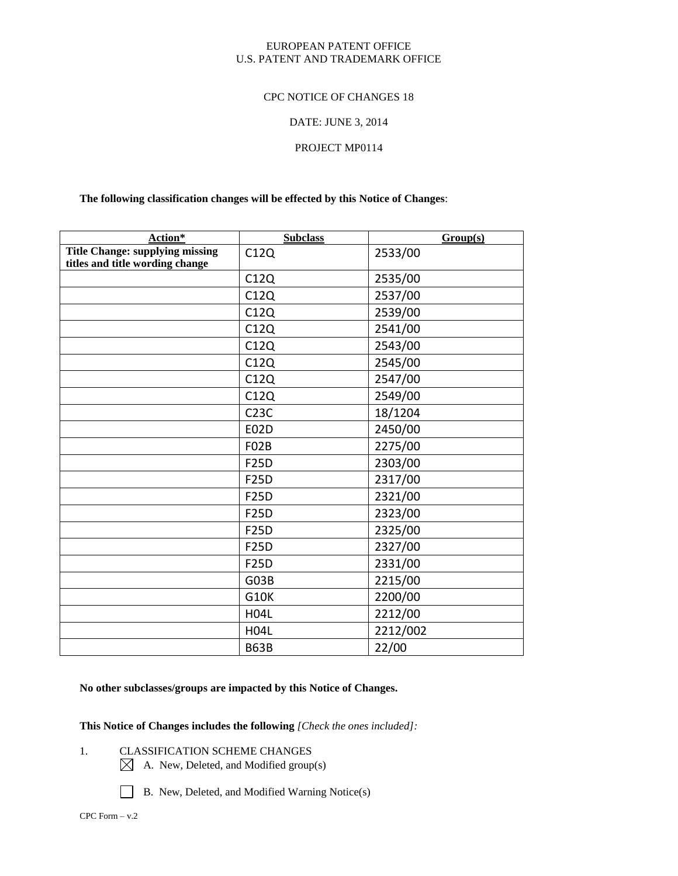#### EUROPEAN PATENT OFFICE U.S. PATENT AND TRADEMARK OFFICE

#### CPC NOTICE OF CHANGES 18

#### DATE: JUNE 3, 2014

#### PROJECT MP0114

#### **The following classification changes will be effected by this Notice of Changes**:

| Action*                                                                   | <b>Subclass</b>   | Group(s) |
|---------------------------------------------------------------------------|-------------------|----------|
| <b>Title Change: supplying missing</b><br>titles and title wording change | C12Q              | 2533/00  |
|                                                                           | C12Q              | 2535/00  |
|                                                                           | C12Q              | 2537/00  |
|                                                                           | C12Q              | 2539/00  |
|                                                                           | C12Q              | 2541/00  |
|                                                                           | C12Q              | 2543/00  |
|                                                                           | C12Q              | 2545/00  |
|                                                                           | C12Q              | 2547/00  |
|                                                                           | C12Q              | 2549/00  |
|                                                                           | C <sub>23C</sub>  | 18/1204  |
|                                                                           | <b>E02D</b>       | 2450/00  |
|                                                                           | F <sub>02</sub> B | 2275/00  |
|                                                                           | <b>F25D</b>       | 2303/00  |
|                                                                           | <b>F25D</b>       | 2317/00  |
|                                                                           | <b>F25D</b>       | 2321/00  |
|                                                                           | <b>F25D</b>       | 2323/00  |
|                                                                           | <b>F25D</b>       | 2325/00  |
|                                                                           | <b>F25D</b>       | 2327/00  |
|                                                                           | <b>F25D</b>       | 2331/00  |
|                                                                           | G03B              | 2215/00  |
|                                                                           | <b>G10K</b>       | 2200/00  |
|                                                                           | <b>H04L</b>       | 2212/00  |
|                                                                           | <b>H04L</b>       | 2212/002 |
|                                                                           | <b>B63B</b>       | 22/00    |

# **No other subclasses/groups are impacted by this Notice of Changes.**

**This Notice of Changes includes the following** *[Check the ones included]:*

- 1. CLASSIFICATION SCHEME CHANGES
	- $\boxtimes$  A. New, Deleted, and Modified group(s)

B. New, Deleted, and Modified Warning Notice(s)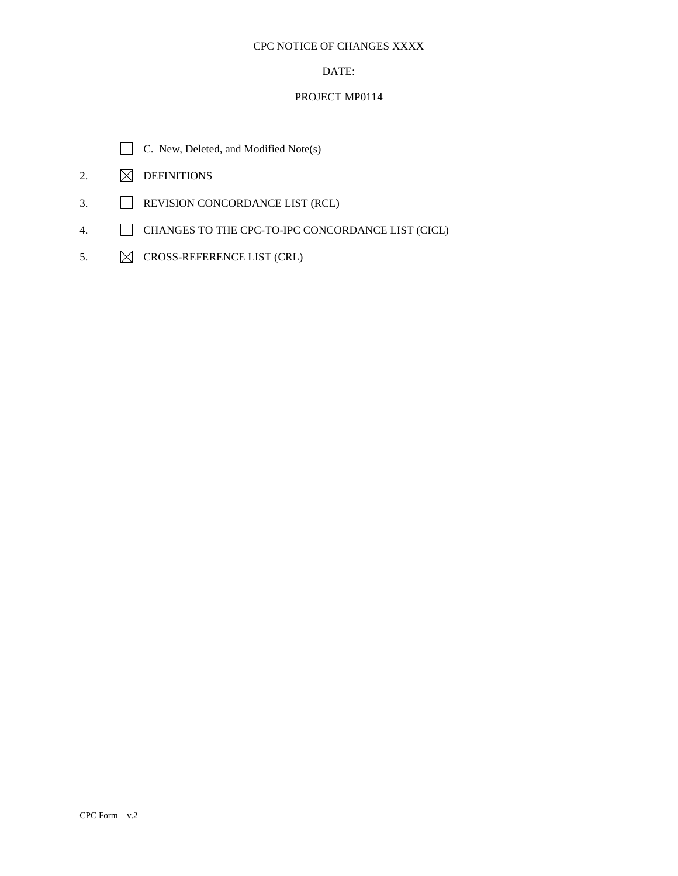#### CPC NOTICE OF CHANGES XXXX

# DATE:

# PROJECT MP0114



- 2.  $\boxtimes$  DEFINITIONS
- 3. REVISION CONCORDANCE LIST (RCL)
- 4. CHANGES TO THE CPC-TO-IPC CONCORDANCE LIST (CICL)
- 5.  $\boxtimes$  CROSS-REFERENCE LIST (CRL)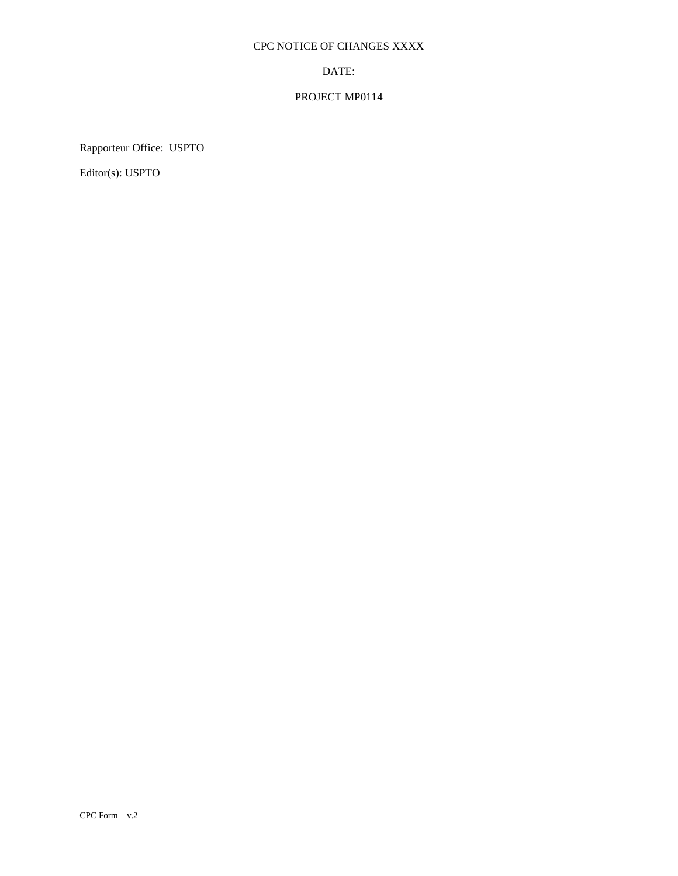# CPC NOTICE OF CHANGES XXXX

#### DATE:

# PROJECT MP0114

Rapporteur Office: USPTO

Editor(s): USPTO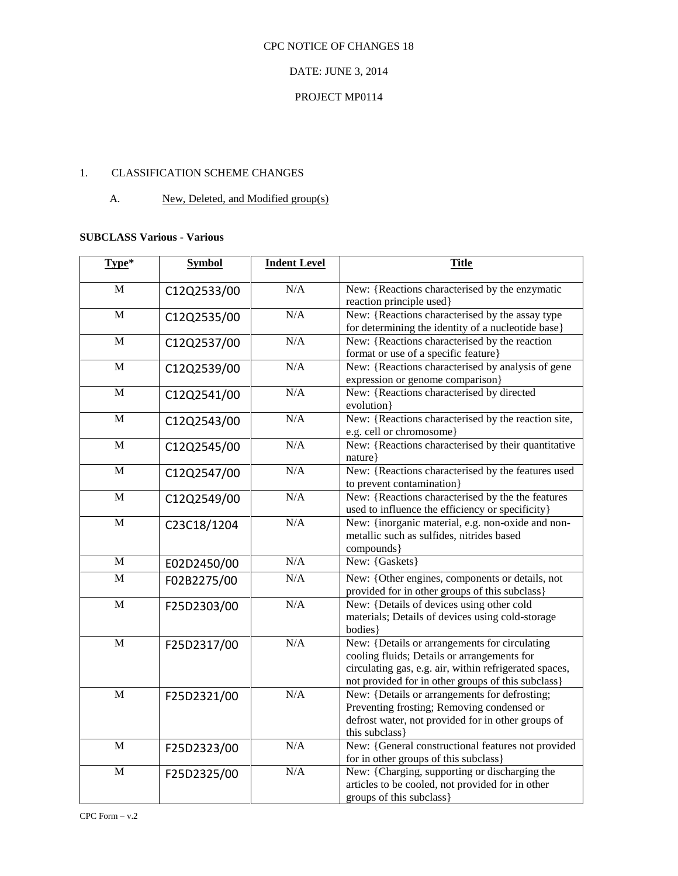# CPC NOTICE OF CHANGES 18

#### DATE: JUNE 3, 2014

# PROJECT MP0114

### 1. CLASSIFICATION SCHEME CHANGES

#### A. New, Deleted, and Modified group(s)

#### **SUBCLASS Various - Various**

| Type*          | <b>Symbol</b> | <b>Indent Level</b> | <b>Title</b>                                                                                                                                                                                                 |
|----------------|---------------|---------------------|--------------------------------------------------------------------------------------------------------------------------------------------------------------------------------------------------------------|
| M              | C12Q2533/00   | N/A                 | New: {Reactions characterised by the enzymatic<br>reaction principle used}                                                                                                                                   |
| M              | C12Q2535/00   | N/A                 | New: {Reactions characterised by the assay type<br>for determining the identity of a nucleotide base}                                                                                                        |
| M              | C12Q2537/00   | N/A                 | New: {Reactions characterised by the reaction<br>format or use of a specific feature}                                                                                                                        |
| M              | C12Q2539/00   | N/A                 | New: {Reactions characterised by analysis of gene<br>expression or genome comparison}                                                                                                                        |
| $\mathbf{M}$   | C12Q2541/00   | N/A                 | New: {Reactions characterised by directed<br>evolution}                                                                                                                                                      |
| M              | C12Q2543/00   | N/A                 | New: {Reactions characterised by the reaction site,<br>e.g. cell or chromosome}                                                                                                                              |
| $\overline{M}$ | C12Q2545/00   | N/A                 | New: Reactions characterised by their quantitative<br>nature }                                                                                                                                               |
| M              | C12Q2547/00   | N/A                 | New: {Reactions characterised by the features used<br>to prevent contamination}                                                                                                                              |
| $\mathbf{M}$   | C12Q2549/00   | N/A                 | New: {Reactions characterised by the the features<br>used to influence the efficiency or specificity}                                                                                                        |
| M              | C23C18/1204   | N/A                 | New: {inorganic material, e.g. non-oxide and non-<br>metallic such as sulfides, nitrides based<br>compounds}                                                                                                 |
| $\mathbf{M}$   | E02D2450/00   | N/A                 | New: {Gaskets}                                                                                                                                                                                               |
| M              | F02B2275/00   | N/A                 | New: {Other engines, components or details, not<br>provided for in other groups of this subclass}                                                                                                            |
| M              | F25D2303/00   | N/A                 | New: {Details of devices using other cold<br>materials; Details of devices using cold-storage<br>bodies}                                                                                                     |
| $\overline{M}$ | F25D2317/00   | N/A                 | New: {Details or arrangements for circulating<br>cooling fluids; Details or arrangements for<br>circulating gas, e.g. air, within refrigerated spaces,<br>not provided for in other groups of this subclass} |
| $\overline{M}$ | F25D2321/00   | N/A                 | New: {Details or arrangements for defrosting;<br>Preventing frosting; Removing condensed or<br>defrost water, not provided for in other groups of<br>this subclass}                                          |
| M              | F25D2323/00   | N/A                 | New: {General constructional features not provided<br>for in other groups of this subclass}                                                                                                                  |
| $\mathbf M$    | F25D2325/00   | N/A                 | New: {Charging, supporting or discharging the<br>articles to be cooled, not provided for in other<br>groups of this subclass}                                                                                |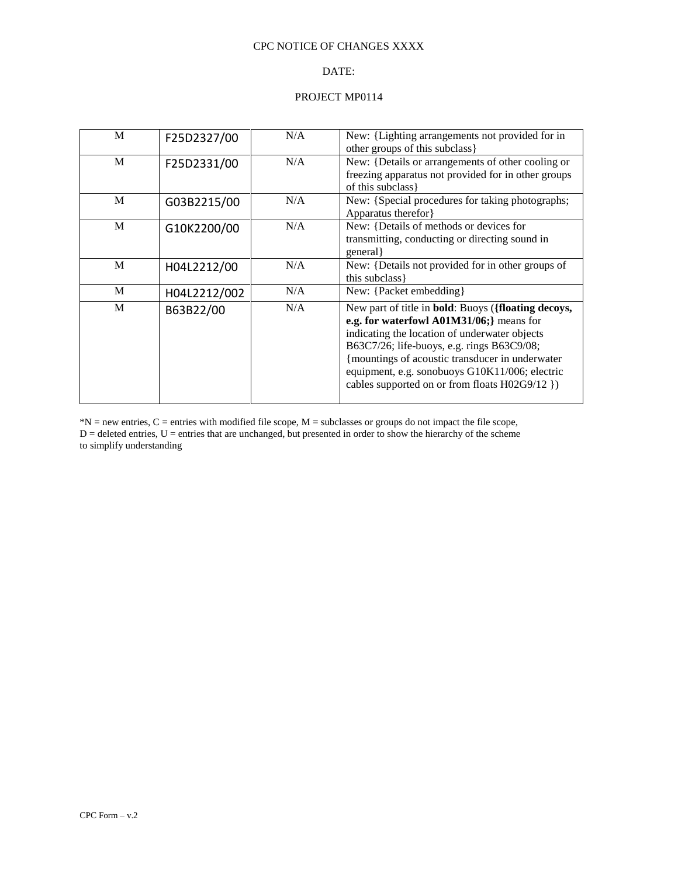#### CPC NOTICE OF CHANGES XXXX

# DATE:

#### PROJECT MP0114

| M |              | N/A | New: {Lighting arrangements not provided for in             |
|---|--------------|-----|-------------------------------------------------------------|
|   | F25D2327/00  |     |                                                             |
|   |              |     | other groups of this subclass }                             |
| M | F25D2331/00  | N/A | New: {Details or arrangements of other cooling or           |
|   |              |     | freezing apparatus not provided for in other groups         |
|   |              |     | of this subclass }                                          |
| M | G03B2215/00  | N/A | New: {Special procedures for taking photographs;            |
|   |              |     | Apparatus therefor }                                        |
| M | G10K2200/00  | N/A | New: {Details of methods or devices for                     |
|   |              |     | transmitting, conducting or directing sound in              |
|   |              |     | general                                                     |
| M |              | N/A | New: {Details not provided for in other groups of           |
|   | H04L2212/00  |     |                                                             |
|   |              |     | this subclass }                                             |
| M | H04L2212/002 | N/A | New: {Packet embedding}                                     |
| M | B63B22/00    | N/A | New part of title in <b>bold</b> : Buoys ({floating decoys, |
|   |              |     | e.g. for waterfowl A01M31/06;} means for                    |
|   |              |     | indicating the location of underwater objects               |
|   |              |     | B63C7/26; life-buoys, e.g. rings B63C9/08;                  |
|   |              |     | {mountings of acoustic transducer in underwater             |
|   |              |     | equipment, e.g. sonobuoys G10K11/006; electric              |
|   |              |     |                                                             |
|   |              |     | cables supported on or from floats H02G9/12 })              |
|   |              |     |                                                             |

 $*N$  = new entries, C = entries with modified file scope, M = subclasses or groups do not impact the file scope,  $D =$  deleted entries,  $U =$  entries that are unchanged, but presented in order to show the hierarchy of the scheme to simplify understanding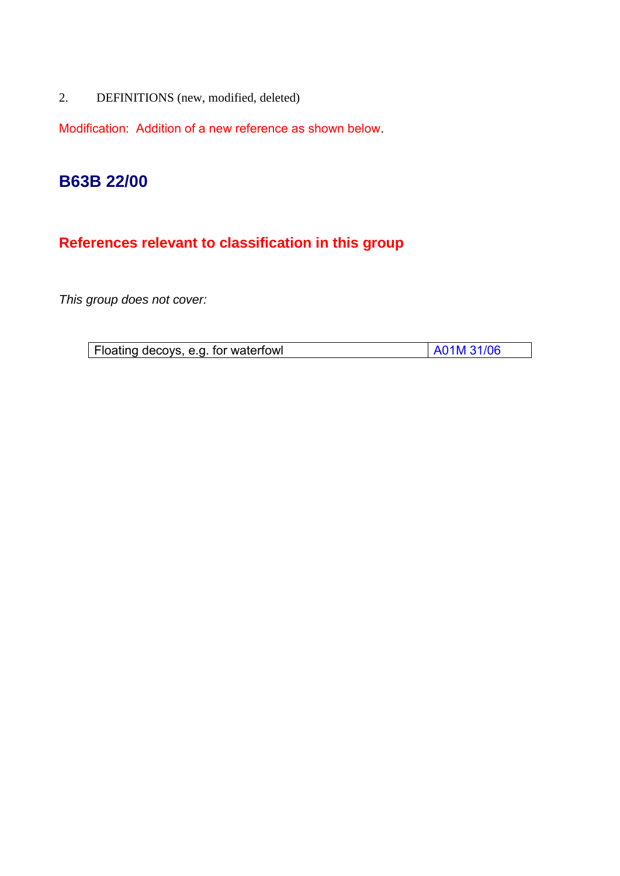2. DEFINITIONS (new, modified, deleted)

Modification: Addition of a new reference as shown below.

# **B63B 22/00**

# **References relevant to classification in this group**

*This group does not cover:* 

| Floating decoys, e.g. for waterfowl | A01M 31/06 |
|-------------------------------------|------------|